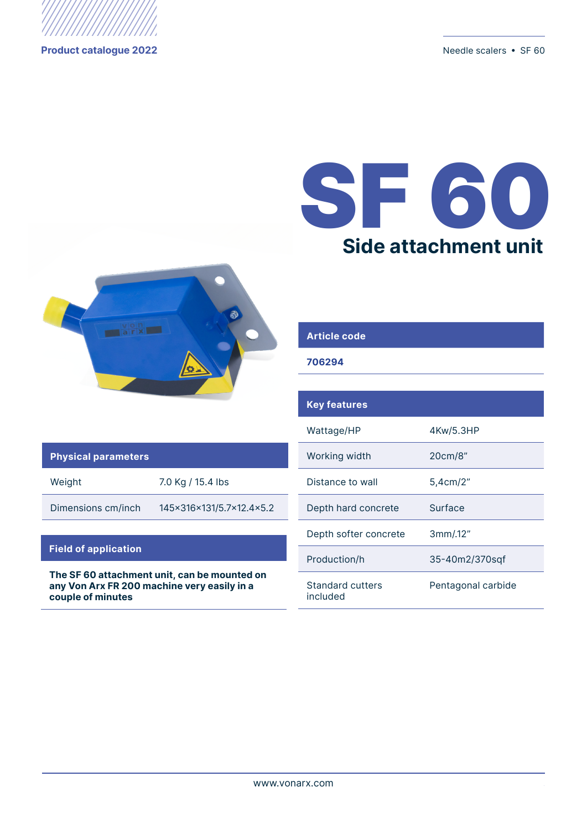

**Product catalogue 2022** Needle scalers • SF 60

# SF 60 **Side attachment unit**



# **Article code**

## **706294**

#### **Physical parameters**

Weight 7.0 Kg / 15.4 lbs

Dimensions cm/inch 145x316x131/5.7x12.4x5.2

### **Field of application**

**The SF 60 attachment unit, can be mounted on any Von Arx FR 200 machine very easily in a couple of minutes**

| <b>Key features</b>          |                    |
|------------------------------|--------------------|
| Wattage/HP                   | 4Kw/5.3HP          |
| Working width                | 20cm/8"            |
| Distance to wall             | 5,4cm/2"           |
| Depth hard concrete          | Surface            |
| Depth softer concrete        | 3mm/12"            |
| Production/h                 | 35-40m2/370sqf     |
| Standard cutters<br>included | Pentagonal carbide |